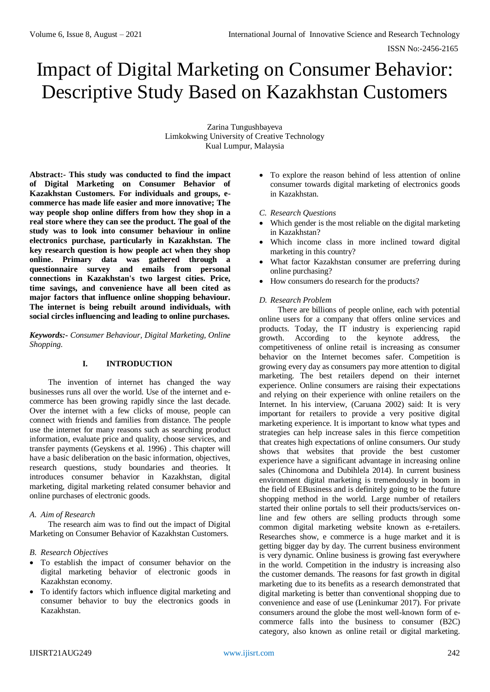# Impact of Digital Marketing on Consumer Behavior: Descriptive Study Based on Kazakhstan Customers

Zarina Tungushbayeva Limkokwing University of Creative Technology Kual Lumpur, Malaysia

**Abstract:- This study was conducted to find the impact of Digital Marketing on Consumer Behavior of Kazakhstan Customers. For individuals and groups, ecommerce has made life easier and more innovative; The way people shop online differs from how they shop in a real store where they can see the product. The goal of the study was to look into consumer behaviour in online electronics purchase, particularly in Kazakhstan. The key research question is how people act when they shop online. Primary data was gathered through a questionnaire survey and emails from personal connections in Kazakhstan's two largest cities. Price, time savings, and convenience have all been cited as major factors that influence online shopping behaviour. The internet is being rebuilt around individuals, with social circles influencing and leading to online purchases.**

*Keywords:- Consumer Behaviour, Digital Marketing, Online Shopping.*

# **I. INTRODUCTION**

The invention of internet has changed the way businesses runs all over the world. Use of the internet and ecommerce has been growing rapidly since the last decade. Over the internet with a few clicks of mouse, people can connect with friends and families from distance. The people use the internet for many reasons such as searching product information, evaluate price and quality, choose services, and transfer payments (Geyskens et al. 1996) . This chapter will have a basic deliberation on the basic information, objectives, research questions, study boundaries and theories. It introduces consumer behavior in Kazakhstan, digital marketing, digital marketing related consumer behavior and online purchases of electronic goods.

# *A. Aim of Research*

The research aim was to find out the impact of Digital Marketing on Consumer Behavior of Kazakhstan Customers.

# *B. Research Objectives*

- To establish the impact of consumer behavior on the digital marketing behavior of electronic goods in Kazakhstan economy.
- To identify factors which influence digital marketing and consumer behavior to buy the electronics goods in Kazakhstan.
- To explore the reason behind of less attention of online consumer towards digital marketing of electronics goods in Kazakhstan.
- *C. Research Questions*
- Which gender is the most reliable on the digital marketing in Kazakhstan?
- Which income class in more inclined toward digital marketing in this country?
- What factor Kazakhstan consumer are preferring during online purchasing?
- How consumers do research for the products?

# *D. Research Problem*

There are billions of people online, each with potential online users for a company that offers online services and products. Today, the IT industry is experiencing rapid growth. According to the keynote address, the competitiveness of online retail is increasing as consumer behavior on the Internet becomes safer. Competition is growing every day as consumers pay more attention to digital marketing. The best retailers depend on their internet experience. Online consumers are raising their expectations and relying on their experience with online retailers on the Internet. In his interview, (Caruana 2002) said: It is very important for retailers to provide a very positive digital marketing experience. It is important to know what types and strategies can help increase sales in this fierce competition that creates high expectations of online consumers. Our study shows that websites that provide the best customer experience have a significant advantage in increasing online sales (Chinomona and Dubihlela 2014). In current business environment digital marketing is tremendously in boom in the field of EBusiness and is definitely going to be the future shopping method in the world. Large number of retailers started their online portals to sell their products/services online and few others are selling products through some common digital marketing website known as e-retailers. Researches show, e commerce is a huge market and it is getting bigger day by day. The current business environment is very dynamic. Online business is growing fast everywhere in the world. Competition in the industry is increasing also the customer demands. The reasons for fast growth in digital marketing due to its benefits as a research demonstrated that digital marketing is better than conventional shopping due to convenience and ease of use (Leninkumar 2017). For private consumers around the globe the most well-known form of ecommerce falls into the business to consumer (B2C) category, also known as online retail or digital marketing.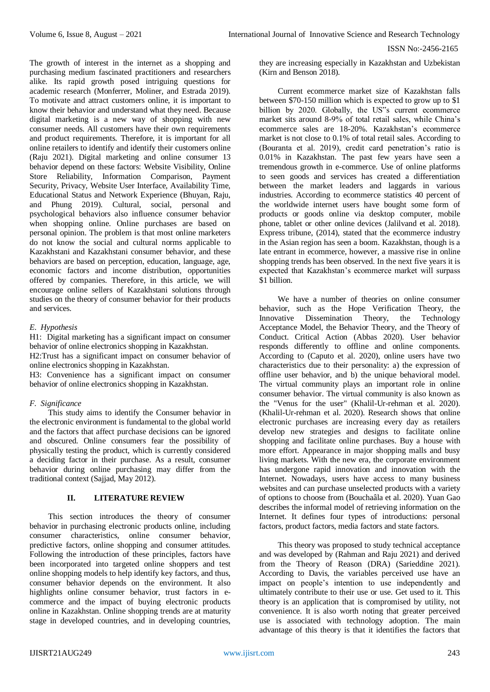The growth of interest in the internet as a shopping and purchasing medium fascinated practitioners and researchers alike. Its rapid growth posed intriguing questions for academic research (Monferrer, Moliner, and Estrada 2019). To motivate and attract customers online, it is important to know their behavior and understand what they need. Because digital marketing is a new way of shopping with new consumer needs. All customers have their own requirements and product requirements. Therefore, it is important for all online retailers to identify and identify their customers online (Raju 2021). Digital marketing and online consumer 13 behavior depend on these factors: Website Visibility, Online Store Reliability, Information Comparison, Payment Security, Privacy, Website User Interface, Availability Time, Educational Status and Network Experience (Bhuyan, Raju, and Phung 2019). Cultural, social, personal and psychological behaviors also influence consumer behavior when shopping online. Online purchases are based on personal opinion. The problem is that most online marketers do not know the social and cultural norms applicable to Kazakhstani and Kazakhstani consumer behavior, and these behaviors are based on perception, education, language, age, economic factors and income distribution, opportunities offered by companies. Therefore, in this article, we will encourage online sellers of Kazakhstani solutions through studies on the theory of consumer behavior for their products and services.

# *E. Hypothesis*

H1: Digital marketing has a significant impact on consumer behavior of online electronics shopping in Kazakhstan. H2:Trust has a significant impact on consumer behavior of online electronics shopping in Kazakhstan. H3: Convenience has a significant impact on consumer

behavior of online electronics shopping in Kazakhstan.

# *F. Significance*

This study aims to identify the Consumer behavior in the electronic environment is fundamental to the global world and the factors that affect purchase decisions can be ignored and obscured. Online consumers fear the possibility of physically testing the product, which is currently considered a deciding factor in their purchase. As a result, consumer behavior during online purchasing may differ from the traditional context (Sajjad, May 2012).

# **II. LITERATURE REVIEW**

This section introduces the theory of consumer behavior in purchasing electronic products online, including consumer characteristics, online consumer behavior, predictive factors, online shopping and consumer attitudes. Following the introduction of these principles, factors have been incorporated into targeted online shoppers and test online shopping models to help identify key factors, and thus, consumer behavior depends on the environment. It also highlights online consumer behavior, trust factors in ecommerce and the impact of buying electronic products online in Kazakhstan. Online shopping trends are at maturity stage in developed countries, and in developing countries,

they are increasing especially in Kazakhstan and Uzbekistan (Kirn and Benson 2018).

Current ecommerce market size of Kazakhstan falls between \$70-150 million which is expected to grow up to \$1 billion by 2020. Globally, the US"s current ecommerce market sits around 8-9% of total retail sales, while China's ecommerce sales are 18-20%. Kazakhstan's ecommerce market is not close to 0.1% of total retail sales. According to (Bouranta et al. 2019), credit card penetration's ratio is 0.01% in Kazakhstan. The past few years have seen a tremendous growth in e-commerce. Use of online platforms to seen goods and services has created a differentiation between the market leaders and laggards in various industries. According to ecommerce statistics 40 percent of the worldwide internet users have bought some form of products or goods online via desktop computer, mobile phone, tablet or other online devices (Jalilvand et al. 2018). Express tribune, (2014), stated that the ecommerce industry in the Asian region has seen a boom. Kazakhstan, though is a late entrant in ecommerce, however, a massive rise in online shopping trends has been observed. In the next five years it is expected that Kazakhstan's ecommerce market will surpass \$1 billion.

We have a number of theories on online consumer behavior, such as the Hope Verification Theory, the Innovative Dissemination Theory, the Technology Acceptance Model, the Behavior Theory, and the Theory of Conduct. Critical Action (Abbas 2020). User behavior responds differently to offline and online components. According to (Caputo et al. 2020), online users have two characteristics due to their personality: a) the expression of offline user behavior, and b) the unique behavioral model. The virtual community plays an important role in online consumer behavior. The virtual community is also known as the "Venus for the user" (Khalil-Ur-rehman et al. 2020). (Khalil-Ur-rehman et al. 2020). Research shows that online electronic purchases are increasing every day as retailers develop new strategies and designs to facilitate online shopping and facilitate online purchases. Buy a house with more effort. Appearance in major shopping malls and busy living markets. With the new era, the corporate environment has undergone rapid innovation and innovation with the Internet. Nowadays, users have access to many business websites and can purchase unselected products with a variety of options to choose from (Bouchaâla et al. 2020). Yuan Gao describes the informal model of retrieving information on the Internet. It defines four types of introductions: personal factors, product factors, media factors and state factors.

This theory was proposed to study technical acceptance and was developed by (Rahman and Raju 2021) and derived from the Theory of Reason (DRA) (Sarieddine 2021). According to Davis, the variables perceived use have an impact on people's intention to use independently and ultimately contribute to their use or use. Get used to it. This theory is an application that is compromised by utility, not convenience. It is also worth noting that greater perceived use is associated with technology adoption. The main advantage of this theory is that it identifies the factors that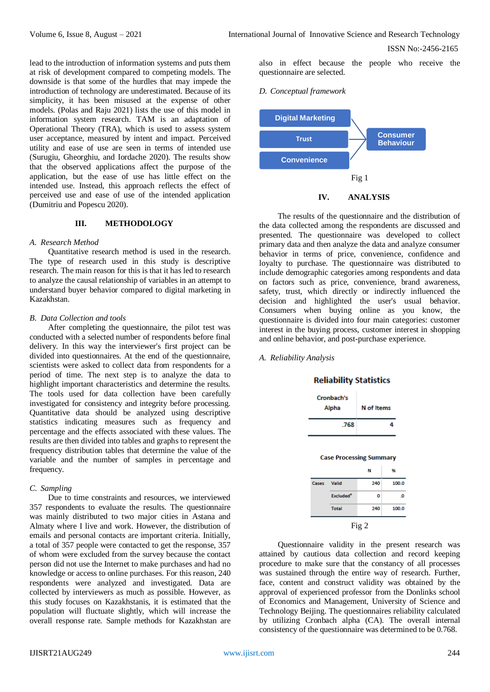lead to the introduction of information systems and puts them at risk of development compared to competing models. The downside is that some of the hurdles that may impede the introduction of technology are underestimated. Because of its simplicity, it has been misused at the expense of other models. (Polas and Raju 2021) lists the use of this model in information system research. TAM is an adaptation of Operational Theory (TRA), which is used to assess system user acceptance, measured by intent and impact. Perceived utility and ease of use are seen in terms of intended use (Surugiu, Gheorghiu, and Iordache 2020). The results show that the observed applications affect the purpose of the application, but the ease of use has little effect on the intended use. Instead, this approach reflects the effect of perceived use and ease of use of the intended application (Dumitriu and Popescu 2020).

## **III. METHODOLOGY**

## *A. Research Method*

Quantitative research method is used in the research. The type of research used in this study is descriptive research. The main reason for this is that it has led to research to analyze the causal relationship of variables in an attempt to understand buyer behavior compared to digital marketing in Kazakhstan.

## *B. Data Collection and tools*

After completing the questionnaire, the pilot test was conducted with a selected number of respondents before final delivery. In this way the interviewer's first project can be divided into questionnaires. At the end of the questionnaire, scientists were asked to collect data from respondents for a period of time. The next step is to analyze the data to highlight important characteristics and determine the results. The tools used for data collection have been carefully investigated for consistency and integrity before processing. Quantitative data should be analyzed using descriptive statistics indicating measures such as frequency and percentage and the effects associated with these values. The results are then divided into tables and graphs to represent the frequency distribution tables that determine the value of the variable and the number of samples in percentage and frequency.

#### *C. Sampling*

Due to time constraints and resources, we interviewed 357 respondents to evaluate the results. The questionnaire was mainly distributed to two major cities in Astana and Almaty where I live and work. However, the distribution of emails and personal contacts are important criteria. Initially, a total of 357 people were contacted to get the response, 357 of whom were excluded from the survey because the contact person did not use the Internet to make purchases and had no knowledge or access to online purchases. For this reason, 240 respondents were analyzed and investigated. Data are collected by interviewers as much as possible. However, as this study focuses on Kazakhstanis, it is estimated that the population will fluctuate slightly, which will increase the overall response rate. Sample methods for Kazakhstan are

also in effect because the people who receive the questionnaire are selected.

# *D. Conceptual framework*



The results of the questionnaire and the distribution of the data collected among the respondents are discussed and presented. The questionnaire was developed to collect primary data and then analyze the data and analyze consumer behavior in terms of price, convenience, confidence and loyalty to purchase. The questionnaire was distributed to include demographic categories among respondents and data on factors such as price, convenience, brand awareness, safety, trust, which directly or indirectly influenced the decision and highlighted the user's usual behavior. Consumers when buying online as you know, the questionnaire is divided into four main categories: customer interest in the buying process, customer interest in shopping and online behavior, and post-purchase experience.

# *A. Reliability Analysis*

# **Reliability Statistics**

| <b>Cronbach's</b><br>Alpha                |                       | <b>N</b> of Items |          |  |
|-------------------------------------------|-----------------------|-------------------|----------|--|
|                                           | .768                  |                   | 4        |  |
| <b>Case Processing Summary</b><br>N<br>96 |                       |                   |          |  |
| Cases                                     | <b>Valid</b>          | 240               | 100.0    |  |
|                                           | Excluded <sup>*</sup> | O                 | $\Omega$ |  |
|                                           | <b>Total</b>          | 240               | 100.0    |  |
| Fig 2                                     |                       |                   |          |  |

Questionnaire validity in the present research was attained by cautious data collection and record keeping procedure to make sure that the constancy of all processes was sustained through the entire way of research. Further, face, content and construct validity was obtained by the approval of experienced professor from the Donlinks school of Economics and Management, University of Science and Technology Beijing. The questionnaires reliability calculated by utilizing Cronbach alpha (CA). The overall internal consistency of the questionnaire was determined to be 0.768.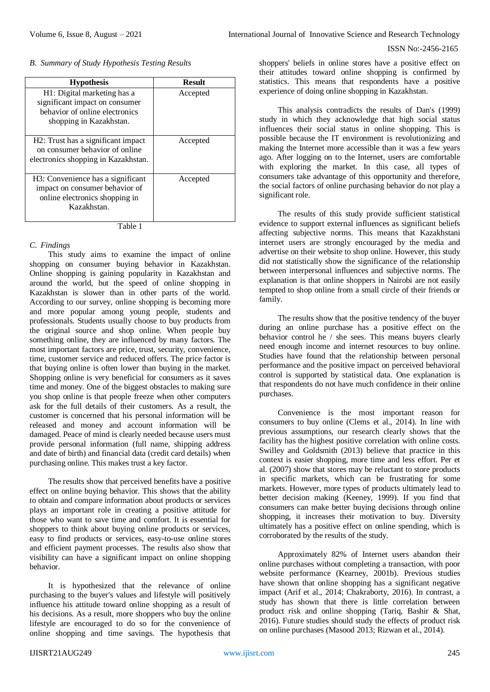*B. Summary of Study Hypothesis Testing Results*

| <b>Hypothesis</b>                                                                                                          | <b>Result</b> |
|----------------------------------------------------------------------------------------------------------------------------|---------------|
| H1: Digital marketing has a<br>significant impact on consumer<br>behavior of online electronics<br>shopping in Kazakhstan. | Accepted      |
| H2: Trust has a significant impact<br>on consumer behavior of online<br>electronics shopping in Kazakhstan.                | Accepted      |
| H3: Convenience has a significant<br>impact on consumer behavior of<br>online electronics shopping in<br>Kazakhstan.       | Accepted      |

Table 1

## *C. Findings*

This study aims to examine the impact of online shopping on consumer buying behavior in Kazakhstan. Online shopping is gaining popularity in Kazakhstan and around the world, but the speed of online shopping in Kazakhstan is slower than in other parts of the world. According to our survey, online shopping is becoming more and more popular among young people, students and professionals. Students usually choose to buy products from the original source and shop online. When people buy something online, they are influenced by many factors. The most important factors are price, trust, security, convenience, time, customer service and reduced offers. The price factor is that buying online is often lower than buying in the market. Shopping online is very beneficial for consumers as it saves time and money. One of the biggest obstacles to making sure you shop online is that people freeze when other computers ask for the full details of their customers. As a result, the customer is concerned that his personal information will be released and money and account information will be damaged. Peace of mind is clearly needed because users must provide personal information (full name, shipping address and date of birth) and financial data (credit card details) when purchasing online. This makes trust a key factor.

The results show that perceived benefits have a positive effect on online buying behavior. This shows that the ability to obtain and compare information about products or services plays an important role in creating a positive attitude for those who want to save time and comfort. It is essential for shoppers to think about buying online products or services, easy to find products or services, easy-to-use online stores and efficient payment processes. The results also show that visibility can have a significant impact on online shopping behavior.

It is hypothesized that the relevance of online purchasing to the buyer's values and lifestyle will positively influence his attitude toward online shopping as a result of his decisions. As a result, more shoppers who buy the online lifestyle are encouraged to do so for the convenience of online shopping and time savings. The hypothesis that

shoppers' beliefs in online stores have a positive effect on their attitudes toward online shopping is confirmed by statistics. This means that respondents have a positive experience of doing online shopping in Kazakhstan.

This analysis contradicts the results of Dan's (1999) study in which they acknowledge that high social status influences their social status in online shopping. This is possible because the IT environment is revolutionizing and making the Internet more accessible than it was a few years ago. After logging on to the Internet, users are comfortable with exploring the market. In this case, all types of consumers take advantage of this opportunity and therefore, the social factors of online purchasing behavior do not play a significant role.

The results of this study provide sufficient statistical evidence to support external influences as significant beliefs affecting subjective norms. This means that Kazakhstani internet users are strongly encouraged by the media and advertise on their website to shop online. However, this study did not statistically show the significance of the relationship between interpersonal influences and subjective norms. The explanation is that online shoppers in Nairobi are not easily tempted to shop online from a small circle of their friends or family.

The results show that the positive tendency of the buyer during an online purchase has a positive effect on the behavior control he / she sees. This means buyers clearly need enough income and internet resources to buy online. Studies have found that the relationship between personal performance and the positive impact on perceived behavioral control is supported by statistical data. One explanation is that respondents do not have much confidence in their online purchases.

Convenience is the most important reason for consumers to buy online (Clems et al., 2014). In line with previous assumptions, our research clearly shows that the facility has the highest positive correlation with online costs. Swilley and Goldsmith (2013) believe that practice in this context is easier shopping, more time and less effort. Per et al. (2007) show that stores may be reluctant to store products in specific markets, which can be frustrating for some markets. However, more types of products ultimately lead to better decision making (Keeney, 1999). If you find that consumers can make better buying decisions through online shopping, it increases their motivation to buy. Diversity ultimately has a positive effect on online spending, which is corroborated by the results of the study.

Approximately 82% of Internet users abandon their online purchases without completing a transaction, with poor website performance (Kearney, 2001b). Previous studies have shown that online shopping has a significant negative impact (Arif et al., 2014; Chakraborty, 2016). In contrast, a study has shown that there is little correlation between product risk and online shopping (Tariq, Bashir & Shat, 2016). Future studies should study the effects of product risk on online purchases (Masood 2013; Rizwan et al., 2014).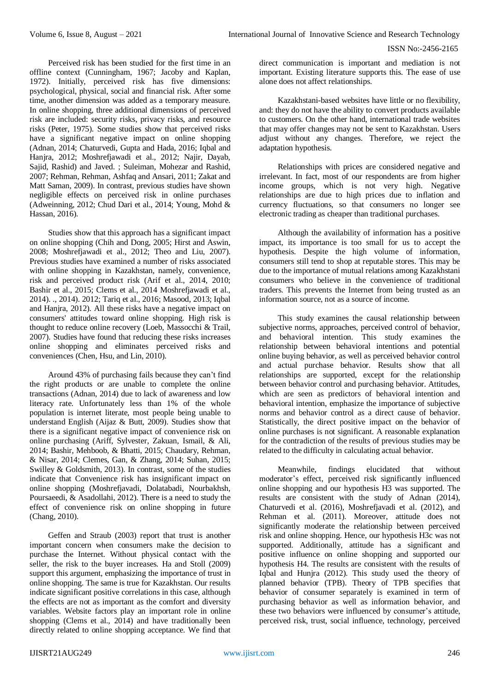Perceived risk has been studied for the first time in an offline context (Cunningham, 1967; Jacoby and Kaplan, 1972). Initially, perceived risk has five dimensions: psychological, physical, social and financial risk. After some time, another dimension was added as a temporary measure. In online shopping, three additional dimensions of perceived risk are included: security risks, privacy risks, and resource risks (Peter, 1975). Some studies show that perceived risks have a significant negative impact on online shopping (Adnan, 2014; Chaturvedi, Gupta and Hada, 2016; Iqbal and Hanjra, 2012; Moshrefjawadi et al., 2012; Najir, Dayab, Sajid, Rashid) and Javed. ; Suleiman, Mohezar and Rashid, 2007; Rehman, Rehman, Ashfaq and Ansari, 2011; Zakat and Matt Saman, 2009). In contrast, previous studies have shown negligible effects on perceived risk in online purchases (Adweinning, 2012; Chud Dari et al., 2014; Young, Mohd & Hassan, 2016).

Studies show that this approach has a significant impact on online shopping (Chih and Dong, 2005; Hirst and Aswin, 2008; Moshrefjawadi et al., 2012; Theo and Liu, 2007). Previous studies have examined a number of risks associated with online shopping in Kazakhstan, namely, convenience, risk and perceived product risk (Arif et al., 2014, 2010; Bashir et al., 2015; Clems et al., 2014 Moshrefjawadi et al., 2014). ., 2014). 2012; Tariq et al., 2016; Masood, 2013; Iqbal and Hanjra, 2012). All these risks have a negative impact on consumers' attitudes toward online shopping. High risk is thought to reduce online recovery (Loeb, Massocchi & Trail, 2007). Studies have found that reducing these risks increases online shopping and eliminates perceived risks and conveniences (Chen, Hsu, and Lin, 2010).

Around 43% of purchasing fails because they can't find the right products or are unable to complete the online transactions (Adnan, 2014) due to lack of awareness and low literacy rate. Unfortunately less than 1% of the whole population is internet literate, most people being unable to understand English (Aijaz & Butt, 2009). Studies show that there is a significant negative impact of convenience risk on online purchasing (Ariff, Sylvester, Zakuan, Ismail, & Ali, 2014; Bashir, Mehboob, & Bhatti, 2015; Chaudary, Rehman, & Nisar, 2014; Clemes, Gan, & Zhang, 2014; Suhan, 2015; Swilley & Goldsmith, 2013). In contrast, some of the studies indicate that Convenience risk has insignificant impact on online shopping (Moshrefjavadi, Dolatabadi, Nourbakhsh, Poursaeedi, & Asadollahi, 2012). There is a need to study the effect of convenience risk on online shopping in future (Chang, 2010).

Geffen and Straub (2003) report that trust is another important concern when consumers make the decision to purchase the Internet. Without physical contact with the seller, the risk to the buyer increases. Ha and Stoll (2009) support this argument, emphasizing the importance of trust in online shopping. The same is true for Kazakhstan. Our results indicate significant positive correlations in this case, although the effects are not as important as the comfort and diversity variables. Website factors play an important role in online shopping (Clems et al., 2014) and have traditionally been directly related to online shopping acceptance. We find that

direct communication is important and mediation is not important. Existing literature supports this. The ease of use alone does not affect relationships.

Kazakhstani-based websites have little or no flexibility, and: they do not have the ability to convert products available to customers. On the other hand, international trade websites that may offer changes may not be sent to Kazakhstan. Users adjust without any changes. Therefore, we reject the adaptation hypothesis.

Relationships with prices are considered negative and irrelevant. In fact, most of our respondents are from higher income groups, which is not very high. Negative relationships are due to high prices due to inflation and currency fluctuations, so that consumers no longer see electronic trading as cheaper than traditional purchases.

Although the availability of information has a positive impact, its importance is too small for us to accept the hypothesis. Despite the high volume of information, consumers still tend to shop at reputable stores. This may be due to the importance of mutual relations among Kazakhstani consumers who believe in the convenience of traditional traders. This prevents the Internet from being trusted as an information source, not as a source of income.

This study examines the causal relationship between subjective norms, approaches, perceived control of behavior, and behavioral intention. This study examines the relationship between behavioral intentions and potential online buying behavior, as well as perceived behavior control and actual purchase behavior. Results show that all relationships are supported, except for the relationship between behavior control and purchasing behavior. Attitudes, which are seen as predictors of behavioral intention and behavioral intention, emphasize the importance of subjective norms and behavior control as a direct cause of behavior. Statistically, the direct positive impact on the behavior of online purchases is not significant. A reasonable explanation for the contradiction of the results of previous studies may be related to the difficulty in calculating actual behavior.

Meanwhile, findings elucidated that without moderator's effect, perceived risk significantly influenced online shopping and our hypothesis H3 was supported. The results are consistent with the study of Adnan (2014), Chaturvedi et al. (2016), Moshrefjavadi et al. (2012), and Rehman et al. (2011). Moreover, attitude does not significantly moderate the relationship between perceived risk and online shopping. Hence, our hypothesis H3c was not supported. Additionally, attitude has a significant and positive influence on online shopping and supported our hypothesis H4. The results are consistent with the results of Iqbal and Hunjra (2012). This study used the theory of planned behavior (TPB). Theory of TPB specifies that behavior of consumer separately is examined in term of purchasing behavior as well as information behavior, and these two behaviors were influenced by consumer's attitude, perceived risk, trust, social influence, technology, perceived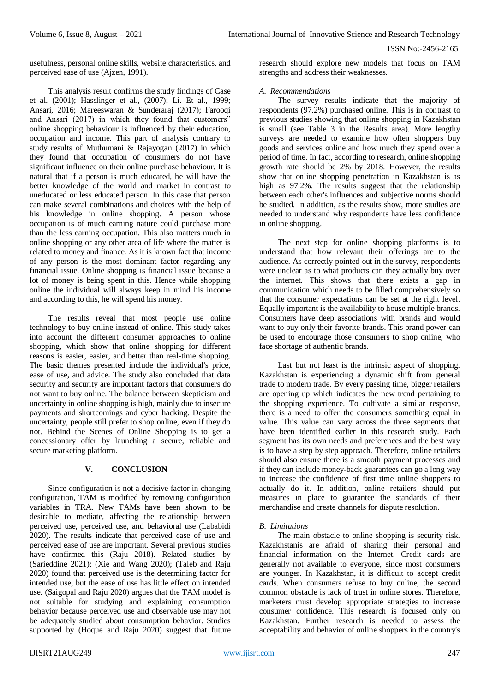usefulness, personal online skills, website characteristics, and perceived ease of use (Ajzen, 1991).

This analysis result confirms the study findings of Case et al. (2001); Hasslinger et al., (2007); Li. Et al., 1999; Ansari, 2016; Mareeswaran & Sunderaraj (2017); Farooqi and Ansari (2017) in which they found that customers" online shopping behaviour is influenced by their education, occupation and income. This part of analysis contrary to study results of Muthumani & Rajayogan (2017) in which they found that occupation of consumers do not have significant influence on their online purchase behaviour. It is natural that if a person is much educated, he will have the better knowledge of the world and market in contrast to uneducated or less educated person. In this case that person can make several combinations and choices with the help of his knowledge in online shopping. A person whose occupation is of much earning nature could purchase more than the less earning occupation. This also matters much in online shopping or any other area of life where the matter is related to money and finance. As it is known fact that income of any person is the most dominant factor regarding any financial issue. Online shopping is financial issue because a lot of money is being spent in this. Hence while shopping online the individual will always keep in mind his income and according to this, he will spend his money.

The results reveal that most people use online technology to buy online instead of online. This study takes into account the different consumer approaches to online shopping, which show that online shopping for different reasons is easier, easier, and better than real-time shopping. The basic themes presented include the individual's price, ease of use, and advice. The study also concluded that data security and security are important factors that consumers do not want to buy online. The balance between skepticism and uncertainty in online shopping is high, mainly due to insecure payments and shortcomings and cyber hacking. Despite the uncertainty, people still prefer to shop online, even if they do not. Behind the Scenes of Online Shopping is to get a concessionary offer by launching a secure, reliable and secure marketing platform.

## **V. CONCLUSION**

Since configuration is not a decisive factor in changing configuration, TAM is modified by removing configuration variables in TRA. New TAMs have been shown to be desirable to mediate, affecting the relationship between perceived use, perceived use, and behavioral use (Lababidi 2020). The results indicate that perceived ease of use and perceived ease of use are important. Several previous studies have confirmed this (Raju 2018). Related studies by (Sarieddine 2021); (Xie and Wang 2020); (Taleb and Raju 2020) found that perceived use is the determining factor for intended use, but the ease of use has little effect on intended use. (Saigopal and Raju 2020) argues that the TAM model is not suitable for studying and explaining consumption behavior because perceived use and observable use may not be adequately studied about consumption behavior. Studies supported by (Hoque and Raju 2020) suggest that future research should explore new models that focus on TAM strengths and address their weaknesses.

## *A. Recommendations*

The survey results indicate that the majority of respondents (97.2%) purchased online. This is in contrast to previous studies showing that online shopping in Kazakhstan is small (see Table 3 in the Results area). More lengthy surveys are needed to examine how often shoppers buy goods and services online and how much they spend over a period of time. In fact, according to research, online shopping growth rate should be 2% by 2018. However, the results show that online shopping penetration in Kazakhstan is as high as 97.2%. The results suggest that the relationship between each other's influences and subjective norms should be studied. In addition, as the results show, more studies are needed to understand why respondents have less confidence in online shopping.

The next step for online shopping platforms is to understand that how relevant their offerings are to the audience. As correctly pointed out in the survey, respondents were unclear as to what products can they actually buy over the internet. This shows that there exists a gap in communication which needs to be filled comprehensively so that the consumer expectations can be set at the right level. Equally important is the availability to house multiple brands. Consumers have deep associations with brands and would want to buy only their favorite brands. This brand power can be used to encourage those consumers to shop online, who face shortage of authentic brands.

Last but not least is the intrinsic aspect of shopping. Kazakhstan is experiencing a dynamic shift from general trade to modern trade. By every passing time, bigger retailers are opening up which indicates the new trend pertaining to the shopping experience. To cultivate a similar response, there is a need to offer the consumers something equal in value. This value can vary across the three segments that have been identified earlier in this research study. Each segment has its own needs and preferences and the best way is to have a step by step approach. Therefore, online retailers should also ensure there is a smooth payment processes and if they can include money-back guarantees can go a long way to increase the confidence of first time online shoppers to actually do it. In addition, online retailers should put measures in place to guarantee the standards of their merchandise and create channels for dispute resolution.

# *B. Limitations*

The main obstacle to online shopping is security risk. Kazakhstanis are afraid of sharing their personal and financial information on the Internet. Credit cards are generally not available to everyone, since most consumers are younger. In Kazakhstan, it is difficult to accept credit cards. When consumers refuse to buy online, the second common obstacle is lack of trust in online stores. Therefore, marketers must develop appropriate strategies to increase consumer confidence. This research is focused only on Kazakhstan. Further research is needed to assess the acceptability and behavior of online shoppers in the country's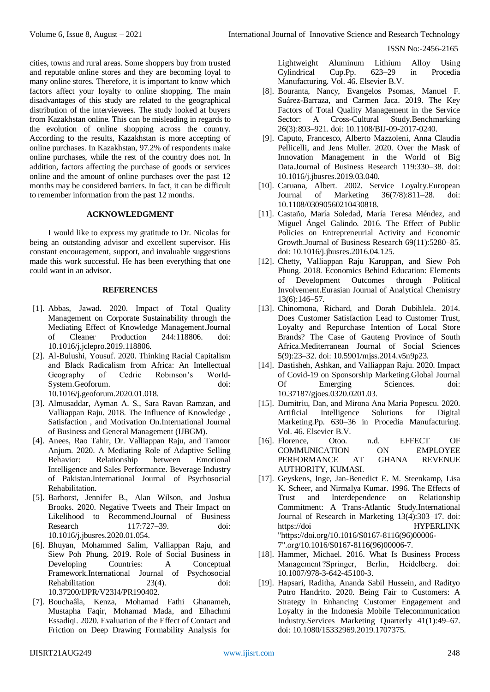cities, towns and rural areas. Some shoppers buy from trusted and reputable online stores and they are becoming loyal to many online stores. Therefore, it is important to know which factors affect your loyalty to online shopping. The main disadvantages of this study are related to the geographical distribution of the interviewees. The study looked at buyers from Kazakhstan online. This can be misleading in regards to the evolution of online shopping across the country. According to the results, Kazakhstan is more accepting of online purchases. In Kazakhstan, 97.2% of respondents make online purchases, while the rest of the country does not. In addition, factors affecting the purchase of goods or services online and the amount of online purchases over the past 12 months may be considered barriers. In fact, it can be difficult to remember information from the past 12 months.

## **ACKNOWLEDGMENT**

I would like to express my gratitude to Dr. Nicolas for being an outstanding advisor and excellent supervisor. His constant encouragement, support, and invaluable suggestions made this work successful. He has been everything that one could want in an advisor.

#### **REFERENCES**

- [1]. Abbas, Jawad. 2020. Impact of Total Quality Management on Corporate Sustainability through the Mediating Effect of Knowledge Management.Journal of Cleaner Production 244:118806. doi: 10.1016/j.jclepro.2019.118806.
- [2]. Al-Bulushi, Yousuf. 2020. Thinking Racial Capitalism and Black Radicalism from Africa: An Intellectual Geography of Cedric Robinson's System.Geoforum. doi: 10.1016/j.geoforum.2020.01.018.
- [3]. Almusaddar, Ayman A. S., Sara Ravan Ramzan, and Valliappan Raju. 2018. The Influence of Knowledge , Satisfaction , and Motivation On.International Journal of Business and General Management (IJBGM).
- [4]. Anees, Rao Tahir, Dr. Valliappan Raju, and Tamoor Anjum. 2020. A Mediating Role of Adaptive Selling Behavior: Relationship between Emotional Intelligence and Sales Performance. Beverage Industry of Pakistan.International Journal of Psychosocial Rehabilitation.
- [5]. Barhorst, Jennifer B., Alan Wilson, and Joshua Brooks. 2020. Negative Tweets and Their Impact on Likelihood to Recommend.Journal of Business Research 117:727–39. doi: 10.1016/j.jbusres.2020.01.054.
- [6]. Bhuyan, Mohammed Salim, Valliappan Raju, and Siew Poh Phung. 2019. Role of Social Business in Developing Countries: A Conceptual Framework.International Journal of Psychosocial Rehabilitation 23(4). doi: 10.37200/IJPR/V23I4/PR190402.
- [7]. Bouchaâla, Kenza, Mohamad Fathi Ghanameh, Mustapha Faqir, Mohamad Mada, and Elhachmi Essadiqi. 2020. Evaluation of the Effect of Contact and Friction on Deep Drawing Formability Analysis for

Lightweight Aluminum Lithium Alloy Using Cylindrical Cup.Pp. 623–29 in Procedia Manufacturing. Vol. 46. Elsevier B.V.

- [8]. Bouranta, Nancy, Evangelos Psomas, Manuel F. Suárez-Barraza, and Carmen Jaca. 2019. The Key Factors of Total Quality Management in the Service Sector: A Cross-Cultural Study.Benchmarking 26(3):893–921. doi: 10.1108/BIJ-09-2017-0240.
- [9]. Caputo, Francesco, Alberto Mazzoleni, Anna Claudia Pellicelli, and Jens Muller. 2020. Over the Mask of Innovation Management in the World of Big Data.Journal of Business Research 119:330–38. doi: 10.1016/j.jbusres.2019.03.040.
- [10]. Caruana, Albert. 2002. Service Loyalty.European<br>Journal of Marketing 36(7/8):811–28. doi: of Marketing  $36(7/8):811-28$ . doi: 10.1108/03090560210430818.
- [11]. Castaño, María Soledad, María Teresa Méndez, and Miguel Ángel Galindo. 2016. The Effect of Public Policies on Entrepreneurial Activity and Economic Growth.Journal of Business Research 69(11):5280–85. doi: 10.1016/j.jbusres.2016.04.125.
- [12]. Chetty, Valliappan Raju Karuppan, and Siew Poh Phung. 2018. Economics Behind Education: Elements of Development Outcomes through Political Involvement.Eurasian Journal of Analytical Chemistry 13(6):146–57.
- [13]. Chinomona, Richard, and Dorah Dubihlela. 2014. Does Customer Satisfaction Lead to Customer Trust, Loyalty and Repurchase Intention of Local Store Brands? The Case of Gauteng Province of South Africa.Mediterranean Journal of Social Sciences 5(9):23–32. doi: 10.5901/mjss.2014.v5n9p23.
- [14]. Dastisheh, Ashkan, and Valliappan Raju. 2020. Impact of Covid-19 on Sponsorship Marketing.Global Journal Of Emerging Sciences. doi: 10.37187/gjoes.0320.0201.03.
- [15]. Dumitriu, Dan, and Mirona Ana Maria Popescu. 2020. Artificial Intelligence Solutions for Digital Marketing.Pp. 630–36 in Procedia Manufacturing. Vol. 46. Elsevier B.V.
- [16]. Florence, Otoo. n.d. EFFECT OF COMMUNICATION ON EMPLOYEE PERFORMANCE AT GHANA REVENUE AUTHORITY, KUMASI.
- [17]. Geyskens, Inge, Jan-Benedict E. M. Steenkamp, Lisa K. Scheer, and Nirmalya Kumar. 1996. The Effects of Trust and Interdependence on Relationship Commitment: A Trans-Atlantic Study.International Journal of Research in Marketing 13(4):303–17. doi: https://doi HYPERLINK "https://doi.org/10.1016/S0167-8116(96)00006- 7".org/10.1016/S0167-8116(96)00006-7.
- [18]. Hammer, Michael. 2016. What Is Business Process Management ?Springer, Berlin, Heidelberg. doi: 10.1007/978-3-642-45100-3.
- [19]. Hapsari, Raditha, Ananda Sabil Hussein, and Radityo Putro Handrito. 2020. Being Fair to Customers: A Strategy in Enhancing Customer Engagement and Loyalty in the Indonesia Mobile Telecommunication Industry.Services Marketing Quarterly 41(1):49–67. doi: 10.1080/15332969.2019.1707375.